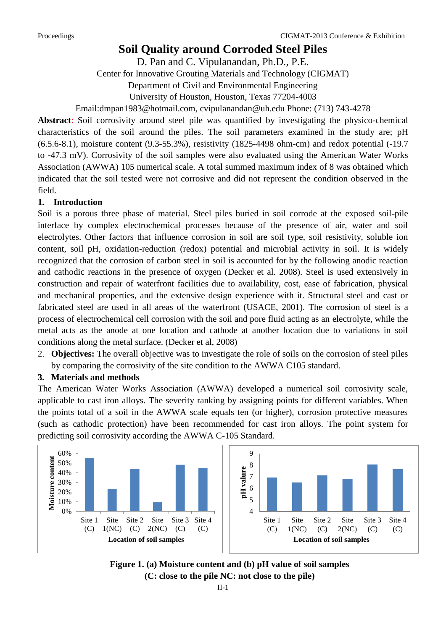# **Soil Quality around Corroded Steel Piles**

D. Pan and C. Vipulanandan, Ph.D., P.E.

Center for Innovative Grouting Materials and Technology (CIGMAT)

Department of Civil and Environmental Engineering

University of Houston, Houston, Texas 77204-4003

Email:dmpan1983@hotmail.com, cvipulanandan@uh.edu Phone: (713) 743-4278

**Abstract**: Soil corrosivity around steel pile was quantified by investigating the physico-chemical characteristics of the soil around the piles. The soil parameters examined in the study are; pH (6.5.6-8.1), moisture content (9.3-55.3%), resistivity (1825-4498 ohm-cm) and redox potential (-19.7 to -47.3 mV). Corrosivity of the soil samples were also evaluated using the American Water Works Association (AWWA) 105 numerical scale. A total summed maximum index of 8 was obtained which indicated that the soil tested were not corrosive and did not represent the condition observed in the field.

## **1. Introduction**

Soil is a porous three phase of material. Steel piles buried in soil corrode at the exposed soil-pile interface by complex electrochemical processes because of the presence of air, water and soil electrolytes. Other factors that influence corrosion in soil are soil type, soil resistivity, soluble ion content, soil pH, oxidation-reduction (redox) potential and microbial activity in soil. It is widely recognized that the corrosion of carbon steel in soil is accounted for by the following anodic reaction and cathodic reactions in the presence of oxygen (Decker et al. 2008). Steel is used extensively in construction and repair of waterfront facilities due to availability, cost, ease of fabrication, physical and mechanical properties, and the extensive design experience with it. Structural steel and cast or fabricated steel are used in all areas of the waterfront (USACE, 2001). The corrosion of steel is a process of electrochemical cell corrosion with the soil and pore fluid acting as an electrolyte, while the metal acts as the anode at one location and cathode at another location due to variations in soil conditions along the metal surface. (Decker et al, 2008)

2. **Objectives:** The overall objective was to investigate the role of soils on the corrosion of steel piles by comparing the corrosivity of the site condition to the AWWA C105 standard.

### **3. Materials and methods**

The American Water Works Association (AWWA) developed a numerical soil corrosivity scale, applicable to cast iron alloys. The severity ranking by assigning points for different variables. When the points total of a soil in the AWWA scale equals ten (or higher), corrosion protective measures (such as cathodic protection) have been recommended for cast iron alloys. The point system for predicting soil corrosivity according the AWWA C-105 Standard.



**Figure 1. (a) Moisture content and (b) pH value of soil samples (C: close to the pile NC: not close to the pile)**